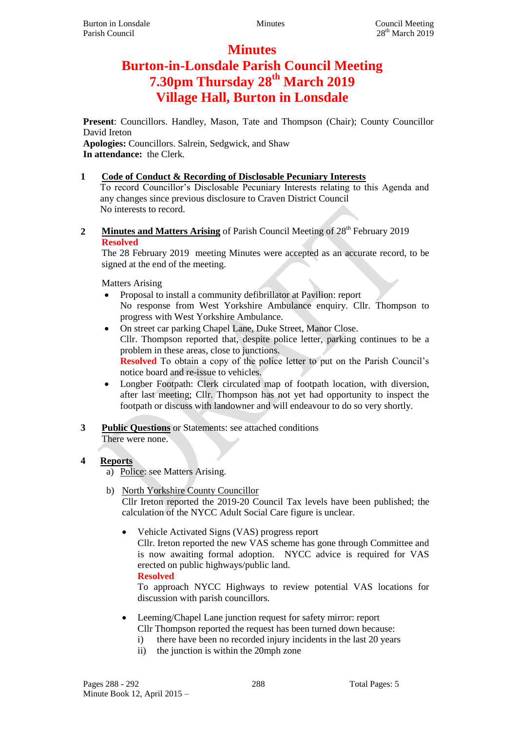## **Minutes**

# **Burton-in-Lonsdale Parish Council Meeting 7.30pm Thursday 28th March 2019 Village Hall, Burton in Lonsdale**

**Present**: Councillors. Handley, Mason, Tate and Thompson (Chair); County Councillor David Ireton

**Apologies:** Councillors. Salrein, Sedgwick, and Shaw **In attendance:** the Clerk.

## **1 Code of Conduct & Recording of Disclosable Pecuniary Interests**

To record Councillor's Disclosable Pecuniary Interests relating to this Agenda and any changes since previous disclosure to Craven District Council No interests to record.

2 **Minutes and Matters Arising** of Parish Council Meeting of 28<sup>th</sup> February 2019 **Resolved**

The 28 February 2019 meeting Minutes were accepted as an accurate record, to be signed at the end of the meeting.

Matters Arising

- Proposal to install a community defibrillator at Pavilion: report No response from West Yorkshire Ambulance enquiry. Cllr. Thompson to progress with West Yorkshire Ambulance.
- On street car parking Chapel Lane, Duke Street, Manor Close. Cllr. Thompson reported that, despite police letter, parking continues to be a problem in these areas, close to junctions.

**Resolved** To obtain a copy of the police letter to put on the Parish Council's notice board and re-issue to vehicles.

- Longber Footpath: Clerk circulated map of footpath location, with diversion, after last meeting; Cllr. Thompson has not yet had opportunity to inspect the footpath or discuss with landowner and will endeavour to do so very shortly.
- **3 Public Questions** or Statements: see attached conditions There were none.
- **4 Reports**
	- a) Police: see Matters Arising.
	- b) North Yorkshire County Councillor Cllr Ireton reported the 2019-20 Council Tax levels have been published; the calculation of the NYCC Adult Social Care figure is unclear.
		- Vehicle Activated Signs (VAS) progress report Cllr. Ireton reported the new VAS scheme has gone through Committee and is now awaiting formal adoption. NYCC advice is required for VAS erected on public highways/public land. **Resolved**

To approach NYCC Highways to review potential VAS locations for discussion with parish councillors.

- Leeming/Chapel Lane junction request for safety mirror: report Cllr Thompson reported the request has been turned down because:
	- i) there have been no recorded injury incidents in the last 20 years
	- ii) the junction is within the 20mph zone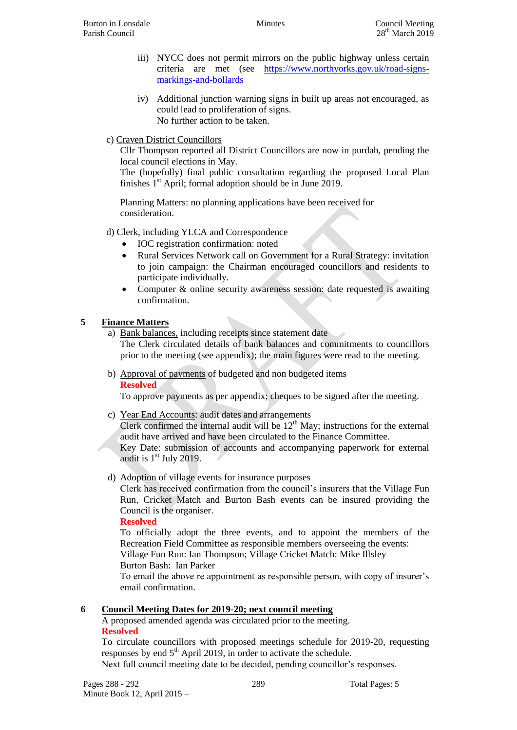- iii) NYCC does not permit mirrors on the public highway unless certain criteria are met (see [https://www.northyorks.gov.uk/road-signs](https://www.northyorks.gov.uk/road-signs-markings-and-bollards)[markings-and-bollards](https://www.northyorks.gov.uk/road-signs-markings-and-bollards)
- iv) Additional junction warning signs in built up areas not encouraged, as could lead to proliferation of signs. No further action to be taken.
- c) Craven District Councillors

Cllr Thompson reported all District Councillors are now in purdah, pending the local council elections in May.

The (hopefully) final public consultation regarding the proposed Local Plan finishes  $1<sup>st</sup>$  April; formal adoption should be in June 2019.

Planning Matters: no planning applications have been received for consideration.

- d) Clerk, including YLCA and Correspondence
	- IOC registration confirmation: noted
	- Rural Services Network call on Government for a Rural Strategy: invitation to join campaign: the Chairman encouraged councillors and residents to participate individually.
	- Computer & online security awareness session: date requested is awaiting confirmation.

## **5 Finance Matters**

a) Bank balances, including receipts since statement date The Clerk circulated details of bank balances and commitments to councillors prior to the meeting (see appendix); the main figures were read to the meeting.

b) Approval of payments of budgeted and non budgeted items **Resolved**

To approve payments as per appendix; cheques to be signed after the meeting.

- c) Year End Accounts: audit dates and arrangements Clerk confirmed the internal audit will be  $12<sup>th</sup>$  May; instructions for the external audit have arrived and have been circulated to the Finance Committee. Key Date: submission of accounts and accompanying paperwork for external audit is  $1<sup>st</sup>$  July 2019.
- d) Adoption of village events for insurance purposes

Clerk has received confirmation from the council's insurers that the Village Fun Run, Cricket Match and Burton Bash events can be insured providing the Council is the organiser.

## **Resolved**

To officially adopt the three events, and to appoint the members of the Recreation Field Committee as responsible members overseeing the events: Village Fun Run: Ian Thompson; Village Cricket Match: Mike Illsley Burton Bash: Ian Parker

To email the above re appointment as responsible person, with copy of insurer's email confirmation.

## **6 Council Meeting Dates for 2019-20; next council meeting**

### A proposed amended agenda was circulated prior to the meeting. **Resolved**

To circulate councillors with proposed meetings schedule for 2019-20, requesting responses by end  $5<sup>th</sup>$  April 2019, in order to activate the schedule. Next full council meeting date to be decided, pending councillor's responses.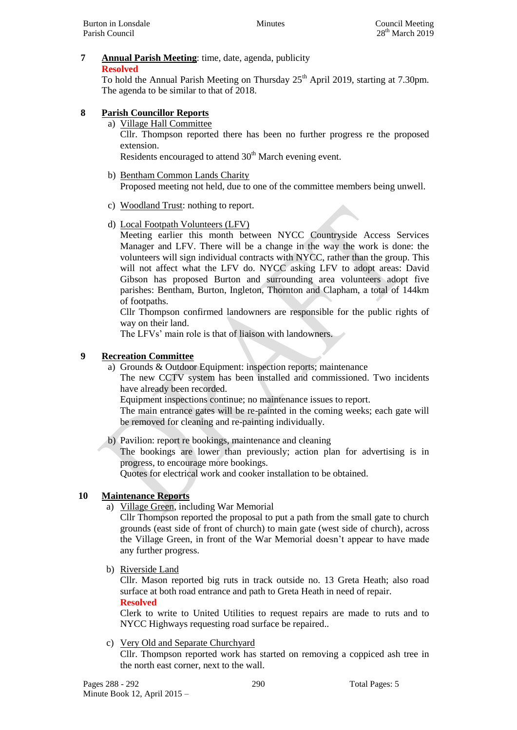#### **7 Annual Parish Meeting**: time, date, agenda, publicity **Resolved**

To hold the Annual Parish Meeting on Thursday  $25<sup>th</sup>$  April 2019, starting at 7.30pm. The agenda to be similar to that of 2018.

## **8 Parish Councillor Reports**

a) Village Hall Committee

Cllr. Thompson reported there has been no further progress re the proposed extension.

Residents encouraged to attend 30<sup>th</sup> March evening event.

- b) Bentham Common Lands Charity Proposed meeting not held, due to one of the committee members being unwell.
- c) Woodland Trust: nothing to report.
- d) Local Footpath Volunteers (LFV)

Meeting earlier this month between NYCC Countryside Access Services Manager and LFV. There will be a change in the way the work is done: the volunteers will sign individual contracts with NYCC, rather than the group. This will not affect what the LFV do. NYCC asking LFV to adopt areas: David Gibson has proposed Burton and surrounding area volunteers adopt five parishes: Bentham, Burton, Ingleton, Thornton and Clapham, a total of 144km of footpaths.

Cllr Thompson confirmed landowners are responsible for the public rights of way on their land.

The LFVs' main role is that of liaison with landowners.

## **9 Recreation Committee**

a) Grounds & Outdoor Equipment: inspection reports; maintenance

The new CCTV system has been installed and commissioned. Two incidents have already been recorded.

Equipment inspections continue; no maintenance issues to report.

The main entrance gates will be re-painted in the coming weeks; each gate will be removed for cleaning and re-painting individually.

b) Pavilion: report re bookings, maintenance and cleaning

The bookings are lower than previously; action plan for advertising is in progress, to encourage more bookings.

Quotes for electrical work and cooker installation to be obtained.

## **10 Maintenance Reports**

a) Village Green, including War Memorial

Cllr Thompson reported the proposal to put a path from the small gate to church grounds (east side of front of church) to main gate (west side of church), across the Village Green, in front of the War Memorial doesn't appear to have made any further progress.

b) Riverside Land

Cllr. Mason reported big ruts in track outside no. 13 Greta Heath; also road surface at both road entrance and path to Greta Heath in need of repair.

**Resolved**

Clerk to write to United Utilities to request repairs are made to ruts and to NYCC Highways requesting road surface be repaired..

## c) Very Old and Separate Churchyard

Cllr. Thompson reported work has started on removing a coppiced ash tree in the north east corner, next to the wall.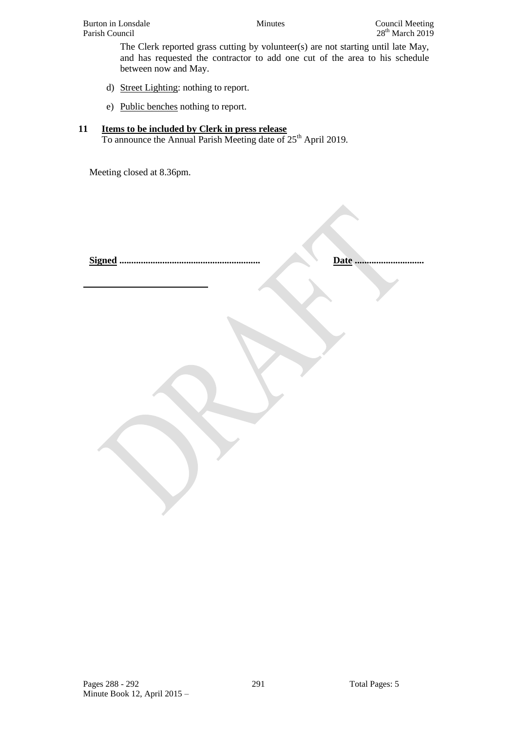The Clerk reported grass cutting by volunteer(s) are not starting until late May, and has requested the contractor to add one cut of the area to his schedule between now and May.

- d) Street Lighting: nothing to report.
- e) Public benches nothing to report.

## **11 Items to be included by Clerk in press release**

To announce the Annual Parish Meeting date of 25<sup>th</sup> April 2019.

Meeting closed at 8.36pm.

**Signed ........................................................... Date .............................**